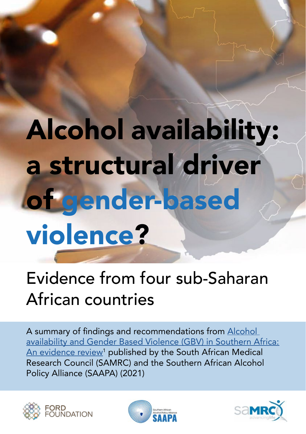# Alcohol availability: a structural driver of gender-based violence?

# Evidence from four sub-Saharan African countries

A summary of findings and recommendations from [Alcohol](https://saapa.net/download/saapa-alcohol-availability-and-gbv-evidence-review/?wpdmdl=34062&refresh=619f55a1d8ddc1637832097)  [availability and Gender Based Violence \(GBV\) in Southern Africa:](https://saapa.net/download/saapa-alcohol-availability-and-gbv-evidence-review/?wpdmdl=34062&refresh=619f55a1d8ddc1637832097)  <u>[An evidence review](https://saapa.net/download/saapa-alcohol-availability-and-gbv-evidence-review/?wpdmdl=34062&refresh=619f55a1d8ddc1637832097)</u><sup>1</sup> published by the South African Medical Research Council (SAMRC) and the Southern African Alcohol Policy Alliance (SAAPA) (2021)





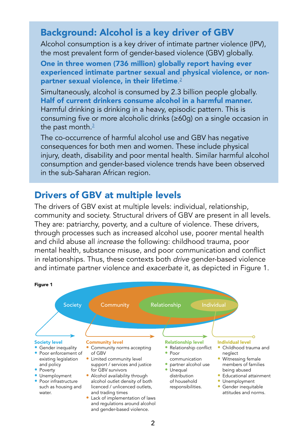## Background: Alcohol is a key driver of GBV

Alcohol consumption is a key driver of intimate partner violence (IPV), the most prevalent form of gender-based violence (GBV) globally.

One in three women (736 million) globally report having ever experienced intimate partner sexual and physical violence, or nonpartner sexual violence, in their lifetime. [2](https://www.who.int/publications/i/item/9789240022256)

Simultaneously, alcohol is consumed by 2.3 billion people globally. Half of current drinkers consume alcohol in a harmful manner. Harmful drinking is drinking in a heavy, episodic pattern. This is consuming five or more alcoholic drinks (≥60g) on a single occasion in the past month. $3$ 

The co-occurrence of harmful alcohol use and GBV has negative consequences for both men and women. These include physical injury, death, disability and poor mental health. Similar harmful alcohol consumption and gender-based violence trends have been observed in the sub-Saharan African region.

## Drivers of GBV at multiple levels

The drivers of GBV exist at multiple levels: individual, relationship, community and society. Structural drivers of GBV are present in all levels. They are: patriarchy, poverty, and a culture of violence. These drivers, through processes such as increased alcohol use, poorer mental health and child abuse all *increase* the following: childhood trauma, poor mental health, substance misuse, and poor communication and conflict in relationships. Thus, these contexts both *drive* gender-based violence and intimate partner violence and *exacerbate* it, as depicted in Figure 1.

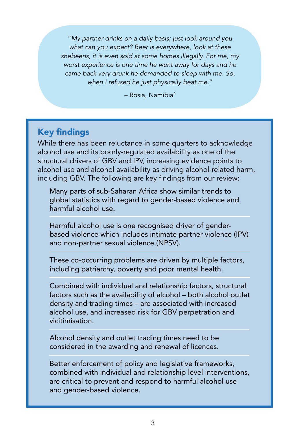"*My partner drinks on a daily basis; just look around you what can you expect? Beer is everywhere, look at these shebeens, it is even sold at some homes illegally. For me, my worst experience is one time he went away for days and he came back very drunk he demanded to sleep with me. So, when I refused he just physically beat me.*"

– Rosia, Namibia4

#### Key findings

While there has been reluctance in some quarters to acknowledge alcohol use and its poorly-regulated availability as one of the structural drivers of GBV and IPV, increasing evidence points to alcohol use and alcohol availability as driving alcohol-related harm, including GBV. The following are key findings from our review:

Many parts of sub-Saharan Africa show similar trends to global statistics with regard to gender-based violence and harmful alcohol use.

Harmful alcohol use is one recognised driver of genderbased violence which includes intimate partner violence (IPV) and non-partner sexual violence (NPSV).

These co-occurring problems are driven by multiple factors, including patriarchy, poverty and poor mental health.

Combined with individual and relationship factors, structural factors such as the availability of alcohol – both alcohol outlet density and trading times – are associated with increased alcohol use, and increased risk for GBV perpetration and vicitimisation.

Alcohol density and outlet trading times need to be considered in the awarding and renewal of licences.

Better enforcement of policy and legislative frameworks, combined with individual and relationship level interventions, are critical to prevent and respond to harmful alcohol use and gender-based violence.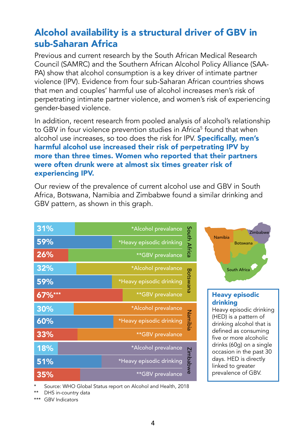# Alcohol availability is a structural driver of GBV in sub-Saharan Africa

Previous and current research by the South African Medical Research Council (SAMRC) and the Southern African Alcohol Policy Alliance (SAA-PA) show that alcohol consumption is a key driver of intimate partner violence (IPV). Evidence from four sub-Saharan African countries shows that men and couples' harmful use of alcohol increases men's risk of perpetrating intimate partner violence, and women's risk of experiencing gender-based violence.

In addition, recent research from pooled analysis of alcohol's relationship to GBV in four violence prevention studies in Africa<sup>5</sup> found that when alcohol use increases, so too does the risk for IPV. **Specifically, men's** harmful alcohol use increased their risk of perpetrating IPV by more than three times. Women who reported that their partners were often drunk were at almost six times greater risk of experiencing IPV.

Our review of the prevalence of current alcohol use and GBV in South Africa, Botswana, Namibia and Zimbabwe found a similar drinking and GBV pattern, as shown in this graph.

| 31%    | *Alcohol prevalance      |              |
|--------|--------------------------|--------------|
| 59%    | *Heavy episodic drinking | South Africa |
| 26%    | **GBV prevalance         |              |
| 32%    | *Alcohol prevalance      |              |
| 59%    | *Heavy episodic drinking | Botswana     |
| 67%*** | **GBV prevalance         |              |
|        |                          |              |
| 30%    | *Alcohol prevalance      |              |
| 60%    | *Heavy episodic drinking |              |
| 33%    | **GBV prevalance         | Namibia      |
| 18%    | *Alcohol prevalance      |              |
| 51%    | *Heavy episodic drinking | Zimbabwe     |



#### Heavy episodic drinking

Heavy episodic drinking (HED) is a pattern of drinking alcohol that is defined as consuming five or more alcoholic drinks (60g) on a single occasion in the past 30 days. HED is directly linked to greater prevalence of GBV.

Source: WHO Global Status report on Alcohol and Health, 2018

\*\* DHS in-country data

\*\*\* GBV Indicators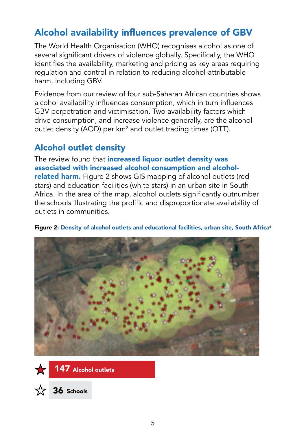# Alcohol availability influences prevalence of GBV

The World Health Organisation (WHO) recognises alcohol as one of several significant drivers of violence globally. Specifically, the WHO identifies the availability, marketing and pricing as key areas requiring regulation and control in relation to reducing alcohol-attributable harm, including GBV.

Evidence from our review of four sub-Saharan African countries shows alcohol availability influences consumption, which in turn influences GBV perpetration and victimisation. Two availability factors which drive consumption, and increase violence generally, are the alcohol outlet density (AOD) per km<sup>2</sup> and outlet trading times (OTT).

# Alcohol outlet density

The review found that increased liquor outlet density was associated with increased alcohol consumption and alcoholrelated harm. Figure 2 shows GIS mapping of alcohol outlets (red stars) and education facilities (white stars) in an urban site in South Africa. In the area of the map, alcohol outlets significantly outnumber the schools illustrating the prolific and disproportionate availability of outlets in communities.



#### Figure 2: [Density of alcohol outlets and educational facilities, urban site, South Africa](https://pubmed.ncbi.nlm.nih.gov/30132173/  )<sup>6</sup>



36 Schools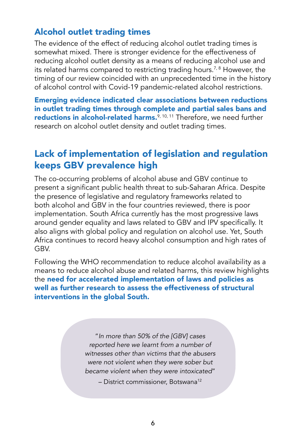#### Alcohol outlet trading times

The evidence of the effect of reducing alcohol outlet trading times is somewhat mixed. There is stronger evidence for the effectiveness of reducing alcohol outlet density as a means of reducing alcohol use and its related harms compared to restricting trading hours.<sup>7,8</sup> However, the timing of our review coincided with an unprecedented time in the history of alcohol control with Covid-19 pandemic-related alcohol restrictions.

Emerging evidence indicated clear associations between reductions in outlet trading times through complete and partial sales bans and reductions in alcohol-related harms. $9,10,11$  Therefore, we need further research on alcohol outlet density and outlet trading times.

# Lack of implementation of legislation and regulation keeps GBV prevalence high

The co-occurring problems of alcohol abuse and GBV continue to present a significant public health threat to sub-Saharan Africa. Despite the presence of legislative and regulatory frameworks related to both alcohol and GBV in the four countries reviewed, there is poor implementation. South Africa currently has the most progressive laws around gender equality and laws related to GBV and IPV specifically. It also aligns with global policy and regulation on alcohol use. Yet, South Africa continues to record heavy alcohol consumption and high rates of **GBV** 

Following the WHO recommendation to reduce alcohol availability as a means to reduce alcohol abuse and related harms, this review highlights the need for accelerated implementation of laws and policies as well as further research to assess the effectiveness of structural interventions in the global South.

> "*In more than 50% of the [GBV] cases reported here we learnt from a number of witnesses other than victims that the abusers were not violent when they were sober but became violent when they were intoxicated*"

> > – District commissioner, Botswana12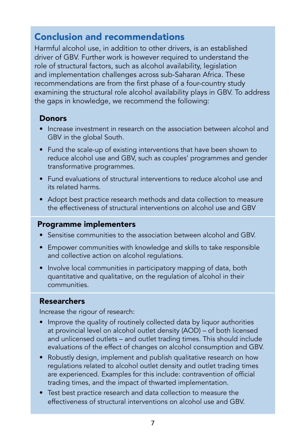# Conclusion and recommendations

Harmful alcohol use, in addition to other drivers, is an established driver of GBV. Further work is however required to understand the role of structural factors, such as alcohol availability, legislation and implementation challenges across sub-Saharan Africa. These recommendations are from the first phase of a four-country study examining the structural role alcohol availability plays in GBV. To address the gaps in knowledge, we recommend the following:

#### **Donors**

- Increase investment in research on the association between alcohol and GBV in the global South.
- Fund the scale-up of existing interventions that have been shown to reduce alcohol use and GBV, such as couples' programmes and gender transformative programmes.
- Fund evaluations of structural interventions to reduce alcohol use and its related harms.
- Adopt best practice research methods and data collection to measure the effectiveness of structural interventions on alcohol use and GBV

#### Programme implementers

- Sensitise communities to the association between alcohol and GBV.
- Empower communities with knowledge and skills to take responsible and collective action on alcohol regulations.
- Involve local communities in participatory mapping of data, both quantitative and qualitative, on the regulation of alcohol in their communities.

#### Researchers

Increase the rigour of research:

- Improve the quality of routinely collected data by liquor authorities at provincial level on alcohol outlet density (AOD) – of both licensed and unlicensed outlets – and outlet trading times. This should include evaluations of the effect of changes on alcohol consumption and GBV.
- Robustly design, implement and publish qualitative research on how regulations related to alcohol outlet density and outlet trading times are experienced. Examples for this include: contravention of official trading times, and the impact of thwarted implementation.
- Test best practice research and data collection to measure the effectiveness of structural interventions on alcohol use and GBV.